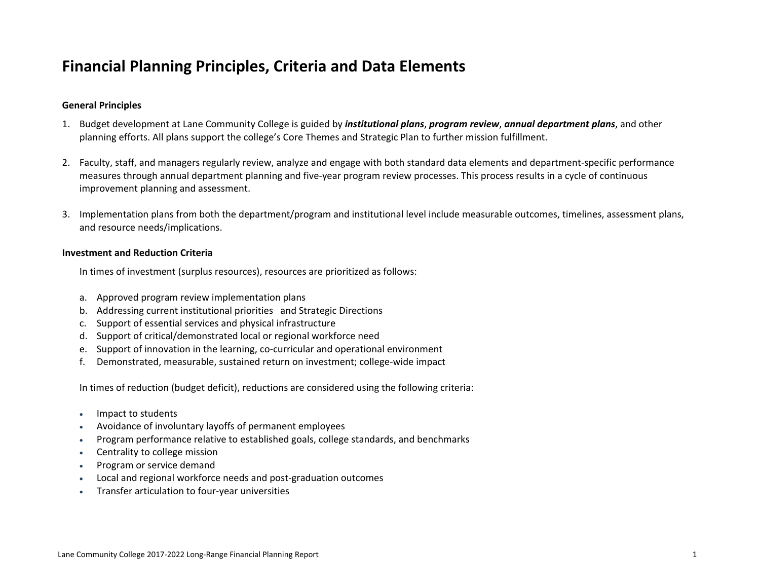# **Financial Planning Principles, Criteria and Data Elements**

## **General Principles**

- 1. Budget development at Lane Community College is guided by *institutional plans*, *program review*, *annual department plans*, and other planning efforts. All plans support the college's Core Themes and Strategic Plan to further mission fulfillment.
- 2. Faculty, staff, and managers regularly review, analyze and engage with both standard data elements and department‐specific performance measures through annual department planning and five‐year program review processes. This process results in <sup>a</sup> cycle of continuous improvement planning and assessment.
- 3. Implementation plans from both the department/program and institutional level include measurable outcomes, timelines, assessment plans, and resource needs/implications.

### **Investment and Reduction Criteria**

In times of investment (surplus resources), resources are prioritized as follows:

- a. Approved program review implementation plans
- b. Addressing current institutional priorities and Strategic Directions
- c. Support of essential services and physical infrastructure
- d. Support of critical/demonstrated local or regional workforce need
- e. Support of innovation in the learning, co‐curricular and operational environment
- f. Demonstrated, measurable, sustained return on investment; college‐wide impact

In times of reduction (budget deficit), reductions are considered using the following criteria:

- Impact to students
- 0 Avoidance of involuntary layoffs of permanent employees
- 0 Program performance relative to established goals, college standards, and benchmarks
- Centrality to college mission
- . Program or service demand
- ٠ Local and regional workforce needs and post‐graduation outcomes
- Transfer articulation to four‐year universities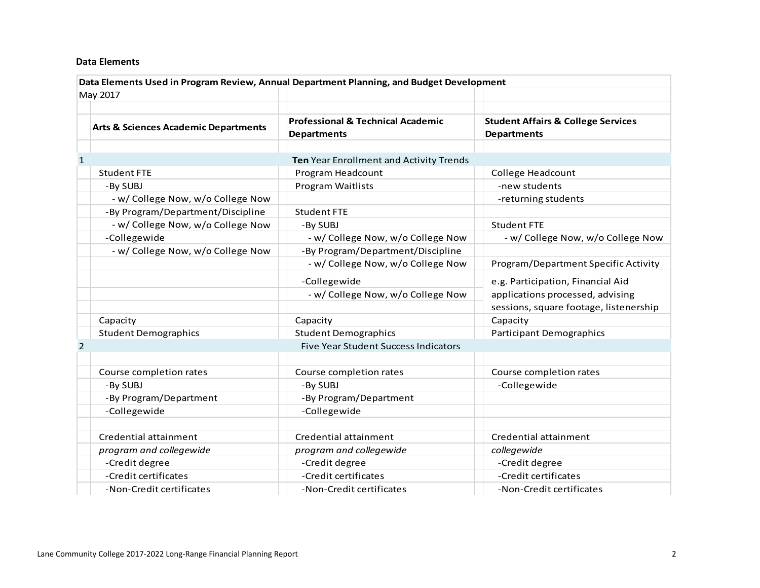#### **Data Elements**

|                | Data Elements Used in Program Review, Annual Department Planning, and Budget Development |                                                                    |                                                                                                                 |  |  |  |
|----------------|------------------------------------------------------------------------------------------|--------------------------------------------------------------------|-----------------------------------------------------------------------------------------------------------------|--|--|--|
|                | May 2017                                                                                 |                                                                    |                                                                                                                 |  |  |  |
|                | <b>Arts &amp; Sciences Academic Departments</b>                                          | <b>Professional &amp; Technical Academic</b><br><b>Departments</b> | <b>Student Affairs &amp; College Services</b><br><b>Departments</b>                                             |  |  |  |
|                |                                                                                          |                                                                    |                                                                                                                 |  |  |  |
| $\mathbf{1}$   |                                                                                          | Ten Year Enrollment and Activity Trends                            |                                                                                                                 |  |  |  |
|                | <b>Student FTE</b>                                                                       | Program Headcount                                                  | College Headcount                                                                                               |  |  |  |
|                | -By SUBJ                                                                                 | Program Waitlists                                                  | -new students                                                                                                   |  |  |  |
|                | - w/ College Now, w/o College Now                                                        |                                                                    | -returning students                                                                                             |  |  |  |
|                | -By Program/Department/Discipline                                                        | <b>Student FTE</b>                                                 |                                                                                                                 |  |  |  |
|                | - w/ College Now, w/o College Now                                                        | -By SUBJ                                                           | <b>Student FTE</b>                                                                                              |  |  |  |
|                | -Collegewide                                                                             | - w/ College Now, w/o College Now                                  | - w/ College Now, w/o College Now                                                                               |  |  |  |
|                | - w/ College Now, w/o College Now                                                        | -By Program/Department/Discipline                                  |                                                                                                                 |  |  |  |
|                |                                                                                          | - w/ College Now, w/o College Now                                  | Program/Department Specific Activity                                                                            |  |  |  |
|                |                                                                                          | -Collegewide<br>- w/ College Now, w/o College Now                  | e.g. Participation, Financial Aid<br>applications processed, advising<br>sessions, square footage, listenership |  |  |  |
|                | Capacity                                                                                 | Capacity                                                           | Capacity                                                                                                        |  |  |  |
|                | <b>Student Demographics</b>                                                              | <b>Student Demographics</b>                                        | Participant Demographics                                                                                        |  |  |  |
| $\overline{2}$ |                                                                                          | <b>Five Year Student Success Indicators</b>                        |                                                                                                                 |  |  |  |
|                |                                                                                          |                                                                    |                                                                                                                 |  |  |  |
|                | Course completion rates                                                                  | Course completion rates                                            | Course completion rates                                                                                         |  |  |  |
|                | -By SUBJ                                                                                 | -By SUBJ                                                           | -Collegewide                                                                                                    |  |  |  |
|                | -By Program/Department                                                                   | -By Program/Department                                             |                                                                                                                 |  |  |  |
|                | -Collegewide                                                                             | -Collegewide                                                       |                                                                                                                 |  |  |  |
|                |                                                                                          |                                                                    |                                                                                                                 |  |  |  |
|                | Credential attainment                                                                    | Credential attainment                                              | Credential attainment                                                                                           |  |  |  |
|                | program and collegewide                                                                  | program and collegewide                                            | collegewide                                                                                                     |  |  |  |
|                | -Credit degree                                                                           | -Credit degree                                                     | -Credit degree                                                                                                  |  |  |  |
|                | -Credit certificates                                                                     | -Credit certificates                                               | -Credit certificates                                                                                            |  |  |  |
|                | -Non-Credit certificates                                                                 | -Non-Credit certificates                                           | -Non-Credit certificates                                                                                        |  |  |  |